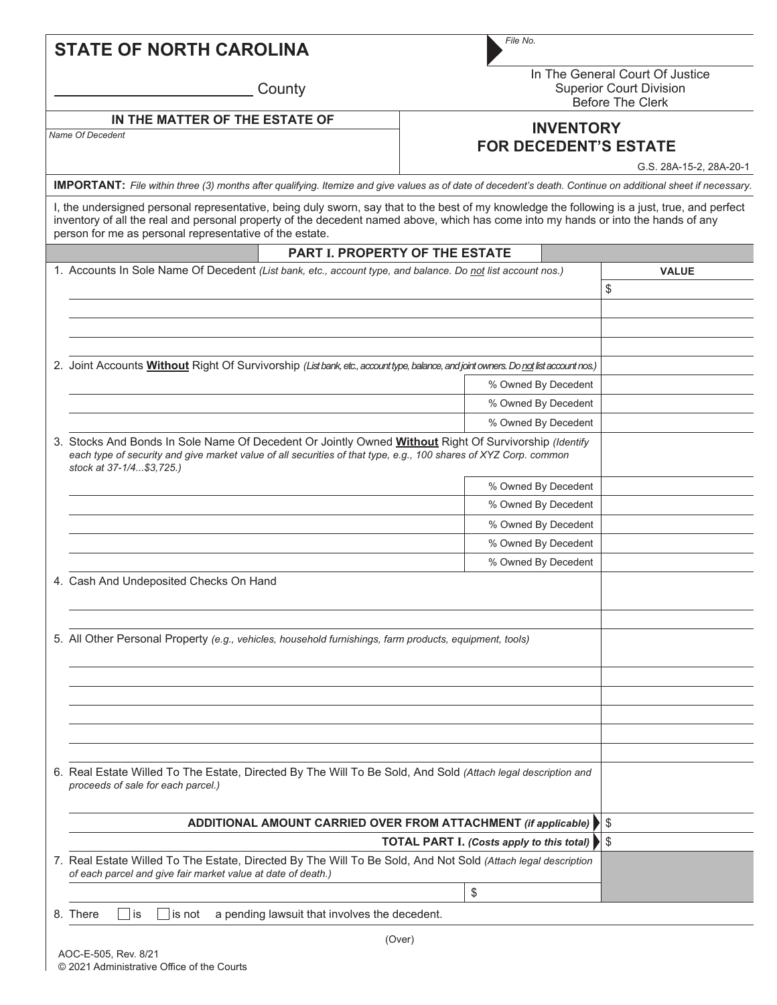|  |  | <b>STATE OF NORTH CAROLINA</b> |
|--|--|--------------------------------|
|--|--|--------------------------------|

**County** 

*File No.*

In The General Court Of Justice Superior Court Division Before The Clerk

## *Name Of Decedent* **IN THE MATTER OF THE ESTATE OF**

## **INVENTORY FOR DECEDENT'S ESTATE**

G.S. 28A-15-2, 28A-20-1

**IMPORTANT:** *File within three (3) months after qualifying. Itemize and give values as of date of decedent's death. Continue on additional sheet if necessary.*

I, the undersigned personal representative, being duly sworn, say that to the best of my knowledge the following is a just, true, and perfect inventory of all the real and personal property of the decedent named above, which has come into my hands or into the hands of any person for me as personal representative of the estate.

| <b>PART I. PROPERTY OF THE ESTATE</b>                                                                                                                                                                                                                 |                     |              |    |
|-------------------------------------------------------------------------------------------------------------------------------------------------------------------------------------------------------------------------------------------------------|---------------------|--------------|----|
| 1. Accounts In Sole Name Of Decedent (List bank, etc., account type, and balance. Do not list account nos.)                                                                                                                                           |                     | <b>VALUE</b> |    |
|                                                                                                                                                                                                                                                       |                     | \$           |    |
|                                                                                                                                                                                                                                                       |                     |              |    |
|                                                                                                                                                                                                                                                       |                     |              |    |
|                                                                                                                                                                                                                                                       |                     |              |    |
| 2. Joint Accounts <b>Without</b> Right Of Survivorship (List bank, etc., account type, balance, and joint owners. Do not list account nos.)                                                                                                           |                     |              |    |
|                                                                                                                                                                                                                                                       | % Owned By Decedent |              |    |
|                                                                                                                                                                                                                                                       | % Owned By Decedent |              |    |
|                                                                                                                                                                                                                                                       | % Owned By Decedent |              |    |
| 3. Stocks And Bonds In Sole Name Of Decedent Or Jointly Owned Without Right Of Survivorship (Identify<br>each type of security and give market value of all securities of that type, e.g., 100 shares of XYZ Corp. common<br>stock at 37-1/4\$3,725.) |                     |              |    |
|                                                                                                                                                                                                                                                       | % Owned By Decedent |              |    |
|                                                                                                                                                                                                                                                       | % Owned By Decedent |              |    |
|                                                                                                                                                                                                                                                       | % Owned By Decedent |              |    |
|                                                                                                                                                                                                                                                       | % Owned By Decedent |              |    |
|                                                                                                                                                                                                                                                       | % Owned By Decedent |              |    |
| 4. Cash And Undeposited Checks On Hand                                                                                                                                                                                                                |                     |              |    |
| 5. All Other Personal Property (e.g., vehicles, household furnishings, farm products, equipment, tools)                                                                                                                                               |                     |              |    |
|                                                                                                                                                                                                                                                       |                     |              |    |
|                                                                                                                                                                                                                                                       |                     |              |    |
|                                                                                                                                                                                                                                                       |                     |              |    |
|                                                                                                                                                                                                                                                       |                     |              |    |
|                                                                                                                                                                                                                                                       |                     |              |    |
| 6. Real Estate Willed To The Estate, Directed By The Will To Be Sold, And Sold (Attach legal description and<br>proceeds of sale for each parcel.)                                                                                                    |                     |              |    |
| ADDITIONAL AMOUNT CARRIED OVER FROM ATTACHMENT (if applicable) ▶                                                                                                                                                                                      |                     |              |    |
| <b>TOTAL PART I.</b> (Costs apply to this total)                                                                                                                                                                                                      |                     |              | \$ |
| 7. Real Estate Willed To The Estate, Directed By The Will To Be Sold, And Not Sold (Attach legal description<br>of each parcel and give fair market value at date of death.)                                                                          |                     |              |    |
|                                                                                                                                                                                                                                                       | \$                  |              |    |
| 8. There<br>a pending lawsuit that involves the decedent.<br>is<br>is not                                                                                                                                                                             |                     |              |    |